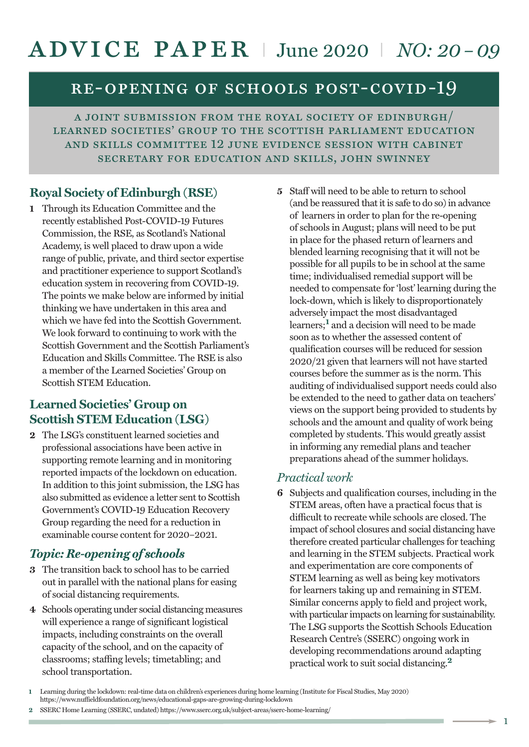# advice paper <sup>I</sup> June <sup>2020</sup> <sup>I</sup> *NO: 20 –09*

## re-opening of schools post-covid-19

a joint submission from the royal society of edinburgh/ learned societies' group to the scottish parliament education and skills committee 12 june evidence session with cabinet secretary for education and skills, john swinney

## **Royal Society of Edinburgh (RSE)**

**1** Through its Education Committee and the recently established Post-COVID-19 Futures Commission, the RSE, as Scotland's National Academy, is well placed to draw upon a wide range of public, private, and third sector expertise and practitioner experience to support Scotland's education system in recovering from COVID-19. The points we make below are informed by initial thinking we have undertaken in this area and which we have fed into the Scottish Government. We look forward to continuing to work with the Scottish Government and the Scottish Parliament's Education and Skills Committee. The RSE is also a member of the Learned Societies' Group on Scottish STEM Education.

## **Learned Societies' Group on Scottish STEM Education (LSG)**

**2** The LSG's constituent learned societies and professional associations have been active in supporting remote learning and in monitoring reported impacts of the lockdown on education. In addition to this joint submission, the LSG has also submitted as evidence a letter sent to Scottish Government's COVID-19 Education Recovery Group regarding the need for a reduction in examinable course content for 2020–2021.

## *Topic: Re-opening of schools*

- **3** The transition back to school has to be carried out in parallel with the national plans for easing of social distancing requirements.
- **4** Schools operating under social distancing measures will experience a range of significant logistical impacts, including constraints on the overall capacity of the school, and on the capacity of classrooms; staffing levels; timetabling; and school transportation.

**5** Staff will need to be able to return to school (and be reassured that it is safe to do so) in advance of learners in order to plan for the re-opening of schools in August; plans will need to be put in place for the phased return of learners and blended learning recognising that it will not be possible for all pupils to be in school at the same time; individualised remedial support will be needed to compensate for 'lost' learning during the lock-down, which is likely to disproportionately adversely impact the most disadvantaged learners; **<sup>1</sup>** and a decision will need to be made soon as to whether the assessed content of qualification courses will be reduced for session 2020/21 given that learners will not have started courses before the summer as is the norm. This auditing of individualised support needs could also be extended to the need to gather data on teachers' views on the support being provided to students by schools and the amount and quality of work being completed by students. This would greatly assist in informing any remedial plans and teacher preparations ahead of the summer holidays.

#### *Practical work*

**6** Subjects and qualification courses, including in the STEM areas, often have a practical focus that is difficult to recreate while schools are closed. The impact of school closures and social distancing have therefore created particular challenges for teaching and learning in the STEM subjects. Practical work and experimentation are core components of STEM learning as well as being key motivators for learners taking up and remaining in STEM. Similar concerns apply to field and project work, with particular impacts on learning for sustainability. The LSG supports the Scottish Schools Education Research Centre's (SSERC) ongoing work in developing recommendations around adapting practical work to suit social distancing. **2**

**2** SSERC Home Learning (SSERC, undated) https://www.sserc.org.uk/subject-areas/sserc-home-learning/

1

**<sup>1</sup>** Learning during the lockdown: real-time data on children's experiences during home learning (Institute for Fiscal Studies, May 2020) https://www.nuffieldfoundation.org/news/educational-gaps-are-growing-during-lockdown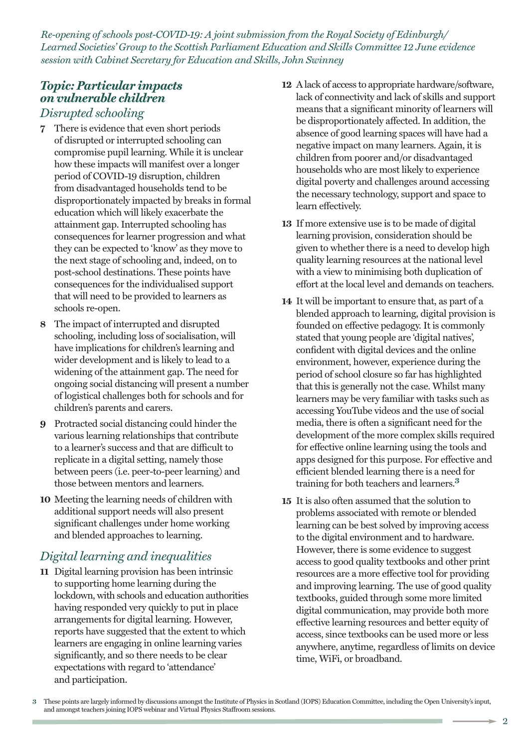*Re-opening of schools post-COVID-19: A joint submission from the Royal Society of Edinburgh/ Learned Societies' Group to the Scottish Parliament Education and Skills Committee 12 June evidence session with Cabinet Secretary for Education and Skills, John Swinney*

#### *Topic: Particular impacts on vulnerable children Disrupted schooling*

- **7** There is evidence that even short periods of disrupted or interrupted schooling can compromise pupil learning. While it is unclear how these impacts will manifest over a longer period of COVID-19 disruption, children from disadvantaged households tend to be disproportionately impacted by breaks in formal education which will likely exacerbate the attainment gap. Interrupted schooling has consequences for learner progression and what they can be expected to 'know' as they move to the next stage of schooling and, indeed, on to post-school destinations. These points have consequences for the individualised support that will need to be provided to learners as schools re-open.
- **8** The impact of interrupted and disrupted schooling, including loss of socialisation, will have implications for children's learning and wider development and is likely to lead to a widening of the attainment gap. The need for ongoing social distancing will present a number of logistical challenges both for schools and for children's parents and carers.
- **9** Protracted social distancing could hinder the various learning relationships that contribute to a learner's success and that are difficult to replicate in a digital setting, namely those between peers (i.e. peer-to-peer learning) and those between mentors and learners.
- **10** Meeting the learning needs of children with additional support needs will also present significant challenges under home working and blended approaches to learning.

## *Digital learning and inequalities*

**11** Digital learning provision has been intrinsic to supporting home learning during the lockdown, with schools and education authorities having responded very quickly to put in place arrangements for digital learning. However, reports have suggested that the extent to which learners are engaging in online learning varies significantly, and so there needs to be clear expectations with regard to 'attendance' and participation.

- **12** Alack of access to appropriate hardware/software, lack of connectivity and lack of skills and support means that a significant minority of learners will be disproportionately affected. In addition, the absence of good learning spaces will have had a negative impact on many learners. Again, it is children from poorer and/or disadvantaged households who are most likely to experience digital poverty and challenges around accessing the necessary technology, support and space to learn effectively.
- **13** If more extensive use is to be made of digital learning provision, consideration should be given to whether there is a need to develop high quality learning resources at the national level with a view to minimising both duplication of effort at the local level and demands on teachers.
- **14** It will be important to ensure that, as part of a blended approach to learning, digital provision is founded on effective pedagogy. It is commonly stated that young people are 'digital natives', confident with digital devices and the online environment, however, experience during the period of school closure so far has highlighted that this is generally not the case. Whilst many learners may be very familiar with tasks such as accessing YouTube videos and the use of social media, there is often a significant need for the development of the more complex skills required for effective online learning using the tools and apps designed for this purpose. For effective and efficient blended learning there is a need for training for both teachers and learners. **3**
- **15** It is also often assumed that the solution to problems associated with remote or blended learning can be best solved by improving access to the digital environment and to hardware. However, there is some evidence to suggest access to good quality textbooks and other print resources are a more effective tool for providing and improving learning. The use of good quality textbooks, guided through some more limited digital communication, may provide both more effective learning resources and better equity of access, since textbooks can be used more or less anywhere, anytime, regardless of limits on device time, WiFi, or broadband.

**<sup>3</sup>** These points are largely informed by discussions amongst the Institute of Physics in Scotland (IOPS) Education Committee, including the Open University's input, and amongst teachers joining IOPS webinar and Virtual Physics Staffroom sessions.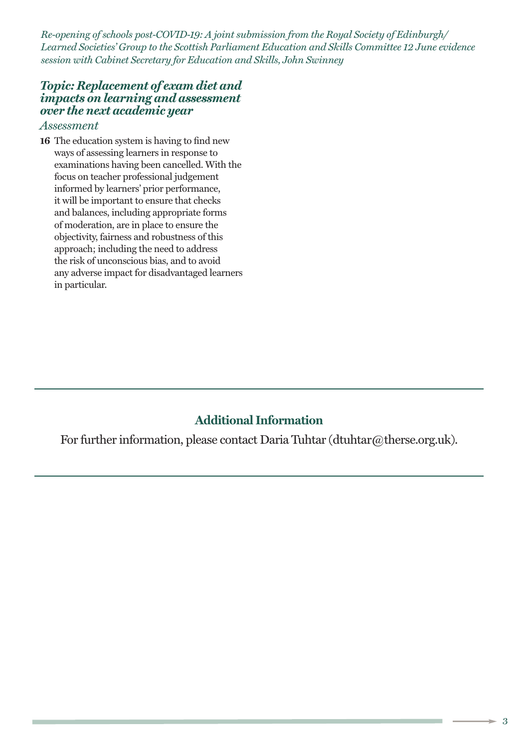*Re-opening of schools post-COVID-19: A joint submission from the Royal Society of Edinburgh/ Learned Societies' Group to the Scottish Parliament Education and Skills Committee 12 June evidence session with Cabinet Secretary for Education and Skills, John Swinney*

#### *Topic: Replacement of exam diet and impacts on learning and assessment over the next academic year*

#### *Assessment*

**16** The education system is having to find new ways of assessing learners in response to examinations having been cancelled. With the focus on teacher professional judgement informed by learners' prior performance, it will be important to ensure that checks and balances, including appropriate forms of moderation, are in place to ensure the objectivity, fairness and robustness of this approach; including the need to address the risk of unconscious bias, and to avoid any adverse impact for disadvantaged learners in particular.

## **Additional Information**

For further information, please contact Daria Tuhtar (dtuhtar@therse.org.uk).